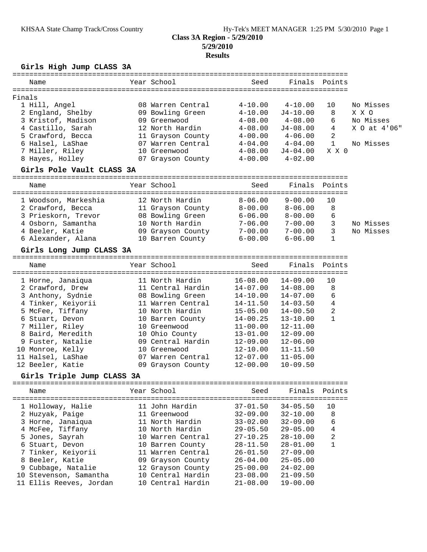# **Class 3A Region - 5/29/2010 5/29/2010**

## **Results**

## **Girls High Jump CLASS 3A**

| Name                                | Year School                                                           | Seed                         |                              | Finals Points       |              |
|-------------------------------------|-----------------------------------------------------------------------|------------------------------|------------------------------|---------------------|--------------|
| Finals                              |                                                                       |                              |                              |                     |              |
| 1 Hill, Angel                       | 08 Warren Central                                                     | $4 - 10.00$                  | $4 - 10.00$                  | 10                  | No Misses    |
| 2 England, Shelby                   | 09 Bowling Green                                                      | $4 - 10.00$                  | $J4 - 10.00$                 | 8                   | X X O        |
| 3 Kristof, Madison                  | 09 Greenwood                                                          | $4 - 08.00$                  | $4\hbox{--}08$ .00           | 6                   | No Misses    |
| 4 Castillo, Sarah                   | 12 North Hardin                                                       | $4-08.00$                    | $J4 - 08.00$                 | 4                   | X 0 at 4'06" |
| 5 Crawford, Becca                   | 11 Grayson County 4-00.00 4-06.00                                     |                              |                              | 2                   |              |
| 6 Halsel, LaShae                    | 07 Warren Central 4-04.00 4-04.00                                     |                              |                              | 1                   | No Misses    |
| 7 Miller, Riley                     | 10 Greenwood                                                          | $4 - 08.00$                  | J4-04.00                     | X X O               |              |
| 8 Hayes, Holley                     | 07 Grayson County 4-00.00 4-02.00                                     |                              |                              |                     |              |
| Girls Pole Vault CLASS 3A           |                                                                       |                              |                              |                     |              |
| Name                                | Year School                                                           | Seed                         |                              | Finals Points       |              |
|                                     |                                                                       |                              |                              |                     |              |
| 1 Woodson, Markeshia                | 12 North Hardin                                                       | $8 - 06.00$                  | $9 - 00.00$                  | 10                  |              |
| 2 Crawford, Becca                   | 11 Grayson County 8-00.00 8-06.00<br>08 Bowling Green 6-06.00 8-00.00 |                              |                              | 8                   |              |
| 3 Prieskorn, Trevor                 |                                                                       |                              |                              | 6                   |              |
| 4 Osborn, Samantha                  | 10 North Hardin                                                       | $7 - 06.00$ $7 - 00.00$      |                              | $\overline{3}$      | No Misses    |
| 4 Beeler, Katie                     | 09 Grayson County 7-00.00 7-00.00                                     |                              |                              | 3                   | No Misses    |
| 6 Alexander, Alana                  | 10 Barren County 6-00.00                                              |                              | $6 - 06.00$                  | 1                   |              |
| Girls Long Jump CLASS 3A            |                                                                       |                              |                              |                     |              |
| Name                                | Year School                                                           | Seed                         |                              | Finals Points       |              |
| 1 Horne, Janaiqua                   | 11 North Hardin                                                       | 16-08.00 14-09.00            |                              | 10                  |              |
| 2 Crawford, Drew                    | 11 Central Hardin                                                     | $14 - 07.00$                 | $14 - 08.00$                 | 8                   |              |
| 3 Anthony, Sydnie                   | 08 Bowling Green                                                      | 14-10.00                     | 14-07.00                     | 6                   |              |
| 4 Tinker, Keiyorii                  | 11 Warren Central                                                     | $14 - 11.50$                 | 14-03.50                     | 4                   |              |
| 5 McFee, Tiffany                    | 10 North Hardin                                                       | 15-05.00                     | 14-00.50                     | 2                   |              |
| 6 Stuart, Devon                     | 10 Barren County                                                      | 14-00.25                     | $13 - 10.00$                 | 1                   |              |
| 7 Miller, Riley                     | 10 Greenwood                                                          | $11 - 00.00$                 | $12 - 11.00$                 |                     |              |
| 8 Baird, Meredith                   | 10 Ohio County                                                        | 13-01.00                     | $12 - 09.00$                 |                     |              |
| 9 Fuster, Natalie                   | 09 Central Hardin                                                     | 12-09.00                     | $12 - 06.00$                 |                     |              |
| 10 Monroe, Kelly                    | 10 Greenwood                                                          | 12-10.00                     | $11 - 11.50$                 |                     |              |
| 11 Halsel, LaShae                   | 07 Warren Central                                                     | 12-07.00                     | $11 - 05.00$                 |                     |              |
| 12 Beeler, Katie                    | 09 Grayson County                                                     | $12 - 00.00$                 | $10 - 09.50$                 |                     |              |
| Girls Triple Jump CLASS 3A          |                                                                       |                              |                              |                     |              |
| Name                                | Year School                                                           | Seed                         | Finals                       | Points              |              |
| 1 Holloway, Halie                   | 11 John Hardin                                                        | $37 - 01.50$                 | $34 - 05.50$                 | =============<br>10 |              |
| 2 Huzyak, Paige                     | 11 Greenwood                                                          | $32 - 09.00$                 | $32 - 10.00$                 | 8                   |              |
| 3 Horne, Janaiqua                   | 11 North Hardin                                                       | $33 - 02.00$                 | $32 - 09.00$                 | 6                   |              |
|                                     | 10 North Hardin                                                       |                              |                              |                     |              |
| 4 McFee, Tiffany<br>5 Jones, Sayrah | 10 Warren Central                                                     | $29 - 05.50$<br>$27 - 10.25$ | $29 - 05.00$<br>$28 - 10.00$ | 4<br>2              |              |
| 6 Stuart, Devon                     | 10 Barren County                                                      | $28 - 11.50$                 | $28 - 01.00$                 | $\mathbf 1$         |              |
| 7 Tinker, Keiyorii                  | 11 Warren Central                                                     | $26 - 01.50$                 | $27 - 09.00$                 |                     |              |
| 8 Beeler, Katie                     | 09 Grayson County                                                     | $26 - 04.00$                 | $25 - 05.00$                 |                     |              |
| 9 Cubbage, Natalie                  | 12 Grayson County                                                     | $25 - 00.00$                 | $24 - 02.00$                 |                     |              |
| 10 Stevenson, Samantha              | 10 Central Hardin                                                     | $23 - 08.00$                 | $21 - 09.50$                 |                     |              |
| 11 Ellis Reeves, Jordan             | 10 Central Hardin                                                     | $21 - 08.00$                 | $19 - 00.00$                 |                     |              |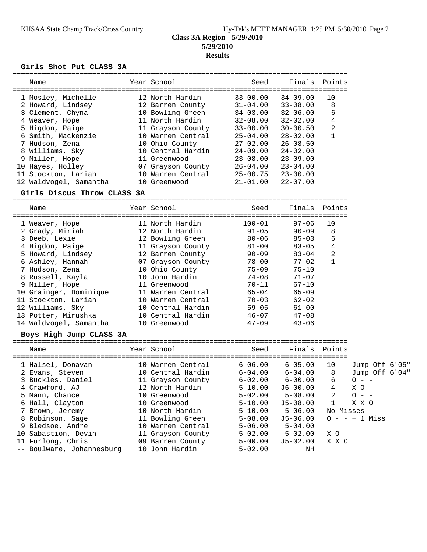## **Class 3A Region - 5/29/2010 5/29/2010 Results**

#### **Girls Shot Put CLASS 3A**

| Name |                                                                                                                                                                                                                                                    | Seed                                                                                                                                                                                                                                                 | Finals       | Points         |
|------|----------------------------------------------------------------------------------------------------------------------------------------------------------------------------------------------------------------------------------------------------|------------------------------------------------------------------------------------------------------------------------------------------------------------------------------------------------------------------------------------------------------|--------------|----------------|
|      |                                                                                                                                                                                                                                                    | $33 - 00.00$                                                                                                                                                                                                                                         | $34 - 09.00$ | 10             |
|      |                                                                                                                                                                                                                                                    | $31 - 04.00$                                                                                                                                                                                                                                         | $33 - 08.00$ | 8              |
|      |                                                                                                                                                                                                                                                    | $34 - 03.00$                                                                                                                                                                                                                                         | $32 - 06.00$ | 6              |
|      |                                                                                                                                                                                                                                                    | $32 - 08.00$                                                                                                                                                                                                                                         | $32 - 02.00$ | 4              |
|      |                                                                                                                                                                                                                                                    | $33 - 00.00$                                                                                                                                                                                                                                         | $30 - 00.50$ | $\overline{2}$ |
|      |                                                                                                                                                                                                                                                    | $25 - 04.00$                                                                                                                                                                                                                                         | $28 - 02.00$ |                |
|      |                                                                                                                                                                                                                                                    | $27 - 02.00$                                                                                                                                                                                                                                         | $26 - 08.50$ |                |
|      |                                                                                                                                                                                                                                                    | $24 - 09.00$                                                                                                                                                                                                                                         | $24 - 02.00$ |                |
|      |                                                                                                                                                                                                                                                    | $23 - 08.00$                                                                                                                                                                                                                                         | $23 - 09.00$ |                |
|      |                                                                                                                                                                                                                                                    | $26 - 04.00$                                                                                                                                                                                                                                         | $23 - 04.00$ |                |
|      |                                                                                                                                                                                                                                                    | $25 - 00.75$                                                                                                                                                                                                                                         | $23 - 00.00$ |                |
|      |                                                                                                                                                                                                                                                    | $21 - 01.00$                                                                                                                                                                                                                                         | $22 - 07.00$ |                |
|      | 1 Mosley, Michelle<br>2 Howard, Lindsey<br>3 Clement, Chyna<br>4 Weaver, Hope<br>5 Higdon, Paige<br>6 Smith, Mackenzie<br>7 Hudson, Zena<br>8 Williams, Sky<br>9 Miller, Hope<br>10 Hayes, Holley<br>11 Stockton, Lariah<br>12 Waldvogel, Samantha | Year School<br>12 North Hardin<br>12 Barren County<br>10 Bowling Green<br>11 North Hardin<br>11 Grayson County<br>10 Warren Central<br>10 Ohio County<br>10 Central Hardin<br>11 Greenwood<br>07 Grayson County<br>10 Warren Central<br>10 Greenwood |              |                |

#### **Girls Discus Throw CLASS 3A**

================================================================================ Name Year School Seed Finals Points ================================================================================ 1 Weaver, Hope 11 North Hardin 100-01 97-06 10 2 Grady, Miriah 12 North Hardin 91-05 90-09 8 3 Deeb, Lexie 12 Bowling Green 80-06 85-03 6 4 Higdon, Paige 11 Grayson County 81-00 83-05 4 5 Howard, Lindsey 12 Barren County 90-09 83-04 2 6 Ashley, Hannah 07 Grayson County 78-00 77-02 1 7 Hudson, Zena 10 Ohio County 75-09 75-10 8 Russell, Kayla 10 John Hardin 74-08 71-07 9 Miller, Hope 11 Greenwood 70-11 67-10 10 Grainger, Dominique 11 Warren Central 65-04 65-09 11 Stockton, Lariah 10 Warren Central 70-03 62-02 12 Williams, Sky 10 Central Hardin 59-05 61-00 13 Potter, Mirushka 10 Central Hardin 46-07 47-08 14 Waldvogel, Samantha 10 Greenwood 47-09 43-06

#### **Boys High Jump CLASS 3A**

================================================================================

| Name                      | Year School       | Seed        | Finals       | Points    |                |  |
|---------------------------|-------------------|-------------|--------------|-----------|----------------|--|
| 1 Halsel, Donavan         | 10 Warren Central | $6 - 06.00$ | $6 - 05.00$  | 10        | Jump Off 6'05" |  |
|                           |                   |             |              |           |                |  |
| 2 Evans, Steven           | 10 Central Hardin | $6 - 04.00$ | $6 - 04.00$  | 8         | Jump Off 6'04" |  |
| 3 Buckles, Daniel         | 11 Grayson County | $6 - 02.00$ | $6 - 00.00$  | 6         | $O - -$        |  |
| 4 Crawford, AJ            | 12 North Hardin   | $5 - 10.00$ | $J6-00.00$   | 4         | $X_O -$        |  |
| 5 Mann, Chance            | 10 Greenwood      | $5 - 02.00$ | $5 - 08.00$  | 2         | $0 - -$        |  |
| 6 Hall, Clayton           | 10 Greenwood      | $5 - 10.00$ | $J5 - 08.00$ |           | X X C          |  |
| 7 Brown, Jeremy           | 10 North Hardin   | $5 - 10.00$ | $5 - 06.00$  | No Misses |                |  |
| 8 Robinson, Sage          | 11 Bowling Green  | $5 - 08.00$ | $J5 - 06.00$ |           | $0 - + 1$ Miss |  |
| 9 Bledsoe, Andre          | 10 Warren Central | $5 - 06.00$ | $5 - 04.00$  |           |                |  |
| 10 Sabastion, Devin       | 11 Grayson County | $5 - 02.00$ | $5 - 02.00$  | $X$ O –   |                |  |
| 11 Furlong, Chris         | 09 Barren County  | $5 - 00.00$ | $J5-02.00$   | X X C     |                |  |
| -- Boulware, Johannesburg | 10 John Hardin    | $5 - 02.00$ | ΝH           |           |                |  |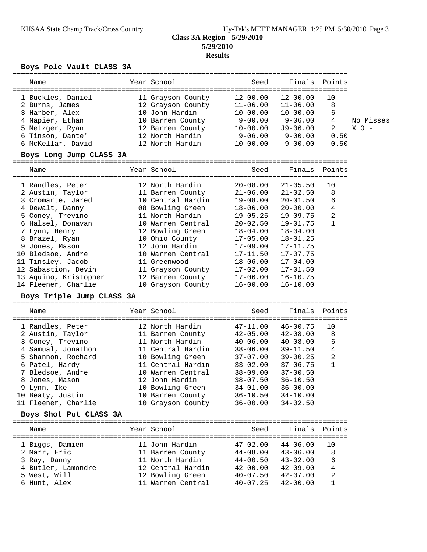## **Class 3A Region - 5/29/2010 5/29/2010 Results**

## **Boys Pole Vault CLASS 3A**

| ==============<br>Name                   |  | Year School                                 | Seed                 |                                                        | Finals Points   |           |  |  |  |  |
|------------------------------------------|--|---------------------------------------------|----------------------|--------------------------------------------------------|-----------------|-----------|--|--|--|--|
| 1 Buckles, Daniel                        |  | 11 Grayson County                           |                      | $12-00.00$ $12-00.00$                                  | 10              |           |  |  |  |  |
| 2 Burns, James                           |  | 12 Grayson County                           | $11 - 06.00$         | $11 - 06.00$                                           | 8               |           |  |  |  |  |
| 3 Harber, Alex                           |  | 10 John Hardin                              | $10 - 00.00$         | $10 - 00.00$                                           | 6               |           |  |  |  |  |
| 4 Napier, Ethan                          |  | 10 Barren County                            | $9 - 00.00$          | $9 - 06.00$                                            | 4               | No Misses |  |  |  |  |
| 5 Metzger, Ryan                          |  |                                             | 10-00.00             | J9-06.00                                               | 2               | $X$ O $-$ |  |  |  |  |
| 6 Tinson, Dante'                         |  | 12 Barren County<br>12 North Hardin         | $9 - 06.00$          | $9 - 00.00$                                            | 0.50            |           |  |  |  |  |
| 6 McKellar, David                        |  | 12 North Hardin                             | 10-00.00             | $9 - 00.00$                                            | 0.50            |           |  |  |  |  |
| Boys Long Jump CLASS 3A                  |  |                                             |                      |                                                        |                 |           |  |  |  |  |
| Name                                     |  | Year School                                 | Seed                 |                                                        | Finals Points   |           |  |  |  |  |
|                                          |  |                                             |                      |                                                        |                 |           |  |  |  |  |
| 1 Randles, Peter                         |  | 12 North Hardin                             | $20 - 08.00$         | $21 - 05.50$                                           | 10              |           |  |  |  |  |
| 2 Austin, Taylor                         |  | 11 Barren County                            | $21 - 06.00$         | $21 - 02.50$                                           | 8               |           |  |  |  |  |
| 3 Cromarte, Jared                        |  | 10 Central Hardin                           | 19-08.00             | $20 - 01.50$                                           | 6               |           |  |  |  |  |
| 4 Dewalt, Danny                          |  | 08 BOWLING<br>11 North Hardin<br>20 Central | 18-06.00<br>19-05.25 | $20 - 00.00$<br>19-09.75                               | 4<br>$\sqrt{2}$ |           |  |  |  |  |
| 5 Coney, Trevino<br>6 Halsel, Donavan    |  | 10 Warren Central                           | $20 - 02.50$         | 19-01.75                                               | 1               |           |  |  |  |  |
| 7 Lynn, Henry                            |  | 12 Bowling Green                            | $18 - 04.00$         | $18 - 04.00$                                           |                 |           |  |  |  |  |
| 8 Brazel, Ryan                           |  | 10 Ohio County                              | $17 - 05.00$         | $18 - 01.25$                                           |                 |           |  |  |  |  |
| 9 Jones, Mason                           |  | 12 John Hardin                              | $17-09.00$           | $17 - 11.75$                                           |                 |           |  |  |  |  |
| 10 Bledsoe, Andre                        |  | 10 Warren Central                           | $17 - 11.50$         | $17 - 07.75$                                           |                 |           |  |  |  |  |
| 11 Tinsley, Jacob                        |  | 11 Greenwood                                | $18 - 06.00$         | $17 - 04.00$                                           |                 |           |  |  |  |  |
| 12 Sabastion, Devin                      |  | 11 Grayson County                           | $17 - 02.00$         | $17 - 01.50$                                           |                 |           |  |  |  |  |
| 13 Aquino, Kristopher                    |  | 12 Barren County                            | $17 - 06.00$         | $16 - 10.75$                                           |                 |           |  |  |  |  |
| 14 Fleener, Charlie                      |  | 10 Grayson County                           | $16 - 00.00$         | $16 - 10.00$                                           |                 |           |  |  |  |  |
| Boys Triple Jump CLASS 3A                |  |                                             |                      |                                                        |                 |           |  |  |  |  |
| Name                                     |  | Year School                                 | Seed                 | Finals                                                 | Points          |           |  |  |  |  |
|                                          |  |                                             |                      |                                                        |                 |           |  |  |  |  |
| 1 Randles, Peter                         |  | 12 North Hardin                             | $47 - 11.00$         | $46 - 00.75$                                           | 10              |           |  |  |  |  |
| 2 Austin, Taylor                         |  | 11 Barren County                            |                      | $42 - 05.00$ $42 - 08.00$                              | 8               |           |  |  |  |  |
| 3 Coney, Trevino                         |  | 11 North Hardin<br>11 Central Hardin        |                      | $40 - 06.00$ $40 - 08.00$<br>$38 - 06.00$ $39 - 11.50$ | 6               |           |  |  |  |  |
| 4 Samual, Jonathon<br>5 Shannon, Rochard |  | 10 Bowling Green                            |                      | $37-07.00$ $39-00.25$                                  | 4<br>2          |           |  |  |  |  |
| 6 Patel, Hardy                           |  | 11 Central Hardin                           | $33 - 02.00$         | $37 - 06.75$                                           | 1               |           |  |  |  |  |
| 7 Bledsoe, Andre                         |  | 10 Warren Central                           | $38 - 09.00$         | $37 - 00.50$                                           |                 |           |  |  |  |  |
| 8 Jones, Mason                           |  | 12 John Hardin                              | $38 - 07.50$         | $36 - 10.50$                                           |                 |           |  |  |  |  |
| 9 Lynn, Ike                              |  | 10 Bowling Green                            | $34 - 01.00$         | $36 - 00.00$                                           |                 |           |  |  |  |  |
| 10 Beaty, Justin                         |  | 10 Barren County                            | $36 - 10.50$         | $34 - 10.00$                                           |                 |           |  |  |  |  |
| 11 Fleener, Charlie                      |  | 10 Grayson County                           | $36 - 00.00$         | $34 - 02.50$                                           |                 |           |  |  |  |  |
| Boys Shot Put CLASS 3A                   |  |                                             |                      |                                                        |                 |           |  |  |  |  |
| Name                                     |  | Year School                                 | Seed                 |                                                        | Finals Points   |           |  |  |  |  |
|                                          |  |                                             |                      |                                                        |                 |           |  |  |  |  |
| 1 Biggs, Damien                          |  | 11 John Hardin                              | $47 - 02.00$         | $44-06.00$                                             | 10              |           |  |  |  |  |
| 2 Marr, Eric                             |  | 11 Barren County                            |                      | $44-08.00$ $43-06.00$                                  | 8               |           |  |  |  |  |
| 3 Ray, Danny                             |  | 11 North Hardin                             | $44 - 00.50$         | $43 - 02.00$                                           | 6               |           |  |  |  |  |
| 4 Butler, Lamondre                       |  | 12 Central Hardin                           | $42 - 00.00$         | $42 - 09.00$                                           | 4               |           |  |  |  |  |
| 5 West, Will                             |  | 12 Bowling Green                            | $40 - 07.50$         | $42 - 07.00$                                           | 2               |           |  |  |  |  |
| 6 Hunt, Alex                             |  | 11 Warren Central                           | $40 - 07.25$         | $42 - 00.00$                                           | 1               |           |  |  |  |  |
|                                          |  |                                             |                      |                                                        |                 |           |  |  |  |  |